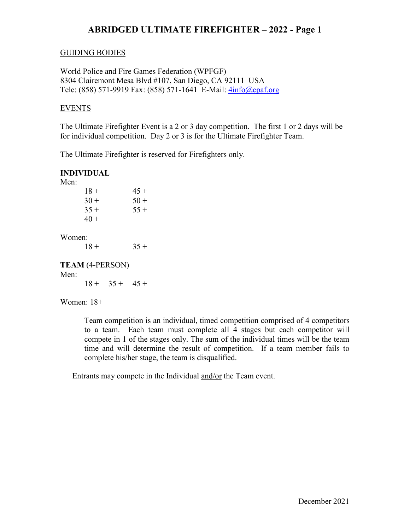#### GUIDING BODIES

World Police and Fire Games Federation (WPFGF) 8304 Clairemont Mesa Blvd #107, San Diego, CA 92111 USA Tele: (858) 571-9919 Fax: (858) 571-1641 E-Mail: [4info@cpaf.org](mailto:4info@cpaf.org)

#### EVENTS

The Ultimate Firefighter Event is a 2 or 3 day competition. The first 1 or 2 days will be for individual competition. Day 2 or 3 is for the Ultimate Firefighter Team.

The Ultimate Firefighter is reserved for Firefighters only.

### **INDIVIDUAL**

Men<sup>·</sup>

| $45 +$ |
|--------|
| $50+$  |
| $55+$  |
|        |
|        |

Women:

 $18 + 35 +$ 

# **TEAM** (4-PERSON)

Men:

 $18 + 35 + 45 +$ 

Women: 18+

Team competition is an individual, timed competition comprised of 4 competitors to a team. Each team must complete all 4 stages but each competitor will compete in 1 of the stages only. The sum of the individual times will be the team time and will determine the result of competition. If a team member fails to complete his/her stage, the team is disqualified.

Entrants may compete in the Individual and/or the Team event.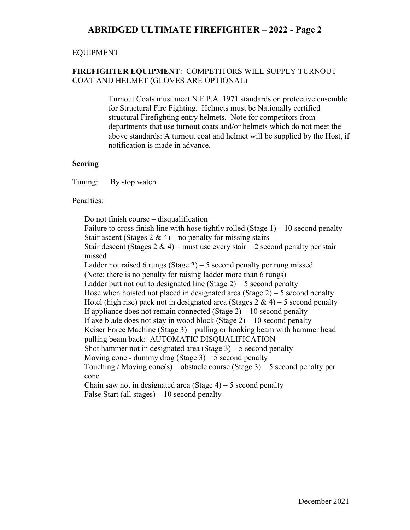#### EQUIPMENT

## **FIREFIGHTER EQUIPMENT**: COMPETITORS WILL SUPPLY TURNOUT COAT AND HELMET (GLOVES ARE OPTIONAL)

Turnout Coats must meet N.F.P.A. 1971 standards on protective ensemble for Structural Fire Fighting. Helmets must be Nationally certified structural Firefighting entry helmets. Note for competitors from departments that use turnout coats and/or helmets which do not meet the above standards: A turnout coat and helmet will be supplied by the Host, if notification is made in advance.

#### **Scoring**

Timing: By stop watch

Penalties:

Do not finish course – disqualification Failure to cross finish line with hose tightly rolled (Stage  $1$ ) – 10 second penalty Stair ascent (Stages  $2 \& 4$ ) – no penalty for missing stairs Stair descent (Stages  $2 \& 4$ ) – must use every stair – 2 second penalty per stair missed Ladder not raised 6 rungs (Stage  $2$ ) – 5 second penalty per rung missed (Note: there is no penalty for raising ladder more than 6 rungs) Ladder butt not out to designated line (Stage  $2$ ) – 5 second penalty Hose when hoisted not placed in designated area  $(Stage 2) - 5$  second penalty Hotel (high rise) pack not in designated area (Stages  $2 \& 4$ ) – 5 second penalty If appliance does not remain connected (Stage  $2$ ) – 10 second penalty If axe blade does not stay in wood block (Stage  $2$ ) – 10 second penalty Keiser Force Machine (Stage 3) – pulling or hooking beam with hammer head pulling beam back: AUTOMATIC DISQUALIFICATION Shot hammer not in designated area  $(Stage 3) - 5$  second penalty Moving cone - dummy drag  $(Stage 3) - 5$  second penalty Touching / Moving cone(s) – obstacle course (Stage 3) – 5 second penalty per cone Chain saw not in designated area  $(Stage 4) - 5$  second penalty False Start (all stages) – 10 second penalty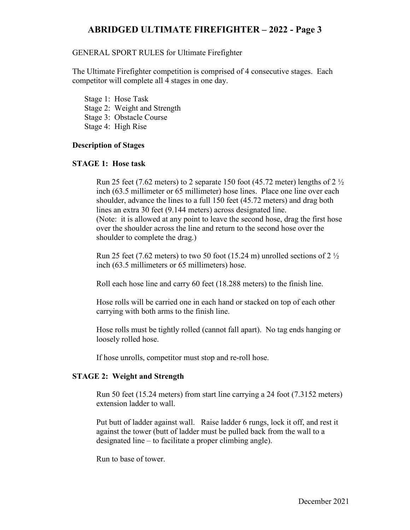#### GENERAL SPORT RULES for Ultimate Firefighter

The Ultimate Firefighter competition is comprised of 4 consecutive stages. Each competitor will complete all 4 stages in one day.

- Stage 1: Hose Task
- Stage 2: Weight and Strength
- Stage 3: Obstacle Course
- Stage 4: High Rise

## **Description of Stages**

## **STAGE 1: Hose task**

Run 25 feet (7.62 meters) to 2 separate 150 foot (45.72 meter) lengths of  $2\frac{1}{2}$ inch (63.5 millimeter or 65 millimeter) hose lines. Place one line over each shoulder, advance the lines to a full 150 feet (45.72 meters) and drag both lines an extra 30 feet (9.144 meters) across designated line. (Note: it is allowed at any point to leave the second hose, drag the first hose over the shoulder across the line and return to the second hose over the shoulder to complete the drag.)

Run 25 feet (7.62 meters) to two 50 foot (15.24 m) unrolled sections of 2  $\frac{1}{2}$ inch (63.5 millimeters or 65 millimeters) hose.

Roll each hose line and carry 60 feet (18.288 meters) to the finish line.

Hose rolls will be carried one in each hand or stacked on top of each other carrying with both arms to the finish line.

Hose rolls must be tightly rolled (cannot fall apart). No tag ends hanging or loosely rolled hose.

If hose unrolls, competitor must stop and re-roll hose.

### **STAGE 2: Weight and Strength**

Run 50 feet (15.24 meters) from start line carrying a 24 foot (7.3152 meters) extension ladder to wall.

Put butt of ladder against wall. Raise ladder 6 rungs, lock it off, and rest it against the tower (butt of ladder must be pulled back from the wall to a designated line – to facilitate a proper climbing angle).

Run to base of tower.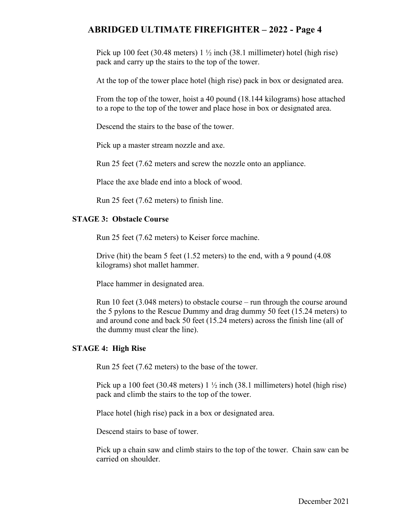Pick up 100 feet (30.48 meters)  $1\frac{1}{2}$  inch (38.1 millimeter) hotel (high rise) pack and carry up the stairs to the top of the tower.

At the top of the tower place hotel (high rise) pack in box or designated area.

From the top of the tower, hoist a 40 pound (18.144 kilograms) hose attached to a rope to the top of the tower and place hose in box or designated area.

Descend the stairs to the base of the tower.

Pick up a master stream nozzle and axe.

Run 25 feet (7.62 meters and screw the nozzle onto an appliance.

Place the axe blade end into a block of wood.

Run 25 feet (7.62 meters) to finish line.

### **STAGE 3: Obstacle Course**

Run 25 feet (7.62 meters) to Keiser force machine.

Drive (hit) the beam 5 feet (1.52 meters) to the end, with a 9 pound (4.08 kilograms) shot mallet hammer.

Place hammer in designated area.

Run 10 feet (3.048 meters) to obstacle course – run through the course around the 5 pylons to the Rescue Dummy and drag dummy 50 feet (15.24 meters) to and around cone and back 50 feet (15.24 meters) across the finish line (all of the dummy must clear the line).

### **STAGE 4: High Rise**

Run 25 feet (7.62 meters) to the base of the tower.

Pick up a 100 feet (30.48 meters)  $1\frac{1}{2}$  inch (38.1 millimeters) hotel (high rise) pack and climb the stairs to the top of the tower.

Place hotel (high rise) pack in a box or designated area.

Descend stairs to base of tower.

Pick up a chain saw and climb stairs to the top of the tower. Chain saw can be carried on shoulder.